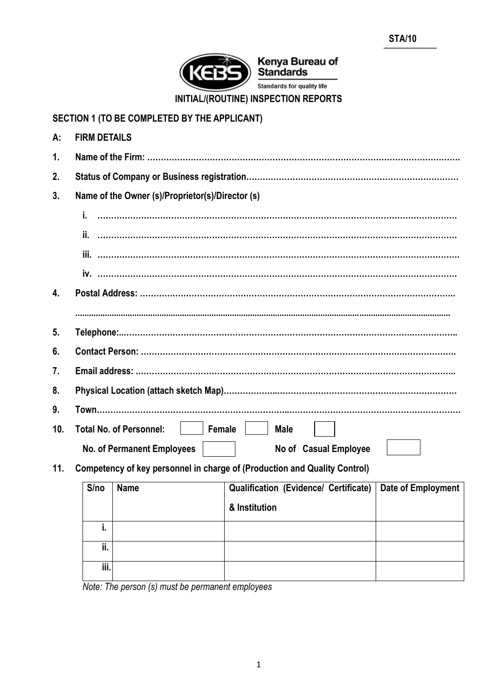

# **SECTION 1 (TO BE COMPLETED BY THE APPLICANT)**

| A:               | <b>FIRM DETAILS</b>                                                       |
|------------------|---------------------------------------------------------------------------|
| $\mathbf{1}$ .   |                                                                           |
| 2.               |                                                                           |
| 3.               | Name of the Owner (s)/Proprietor(s)/Director (s)                          |
|                  | i.                                                                        |
|                  |                                                                           |
|                  |                                                                           |
|                  |                                                                           |
| $\overline{4}$ . |                                                                           |
|                  |                                                                           |
| 5 <sub>1</sub>   |                                                                           |
| 6.               |                                                                           |
| 7.               |                                                                           |
| 8.               |                                                                           |
| 9.               |                                                                           |
| 10.              | <b>Total No. of Personnel:</b><br>Female<br><b>Male</b>                   |
|                  | <b>No. of Permanent Employees</b><br>No of Casual Employee                |
| 11.              | Competency of key personnel in charge of (Production and Quality Control) |

|  | S/no Name | Qualification (Evidence/ Certificate)   Date d |  |  |
|--|-----------|------------------------------------------------|--|--|

| S/no           | <b>Name</b>       | <b>Qualification (Evidence/ Certificate)</b> | Date of Employment |
|----------------|-------------------|----------------------------------------------|--------------------|
|                |                   | & Institution                                |                    |
|                |                   |                                              |                    |
| ii.            |                   |                                              |                    |
| iii.           |                   |                                              |                    |
| $\cdots$<br>-- | $\sqrt{ }$<br>. . |                                              |                    |

*Note: The person (s) must be permanent employees*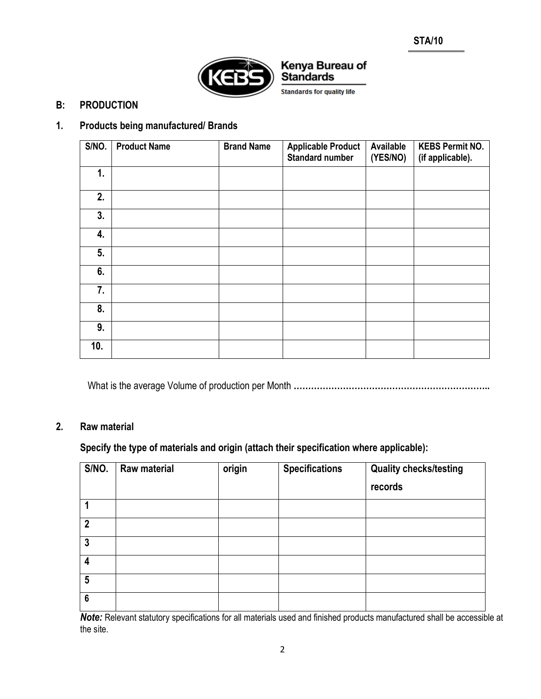

**Standards for quality life** 

### **B: PRODUCTION**

## **1. Products being manufactured/ Brands**

| S/NO. | <b>Product Name</b> | <b>Brand Name</b> | <b>Applicable Product</b><br><b>Standard number</b> | Available<br>(YES/NO) | <b>KEBS Permit NO.</b><br>(if applicable). |
|-------|---------------------|-------------------|-----------------------------------------------------|-----------------------|--------------------------------------------|
| 1.    |                     |                   |                                                     |                       |                                            |
| 2.    |                     |                   |                                                     |                       |                                            |
| 3.    |                     |                   |                                                     |                       |                                            |
| 4.    |                     |                   |                                                     |                       |                                            |
| 5.    |                     |                   |                                                     |                       |                                            |
| 6.    |                     |                   |                                                     |                       |                                            |
| 7.    |                     |                   |                                                     |                       |                                            |
| 8.    |                     |                   |                                                     |                       |                                            |
| 9.    |                     |                   |                                                     |                       |                                            |
| 10.   |                     |                   |                                                     |                       |                                            |

What is the average Volume of production per Month **…………………………………………………………..**

#### **2. Raw material**

## **Specify the type of materials and origin (attach their specification where applicable):**

| S/NO.           | Raw material | origin | <b>Specifications</b> | <b>Quality checks/testing</b><br>records |
|-----------------|--------------|--------|-----------------------|------------------------------------------|
|                 |              |        |                       |                                          |
| $\overline{2}$  |              |        |                       |                                          |
| $\mathbf{3}$    |              |        |                       |                                          |
| 4               |              |        |                       |                                          |
| 5               |              |        |                       |                                          |
| $6\phantom{1}6$ |              |        |                       |                                          |

*Note:* Relevant statutory specifications for all materials used and finished products manufactured shall be accessible at the site.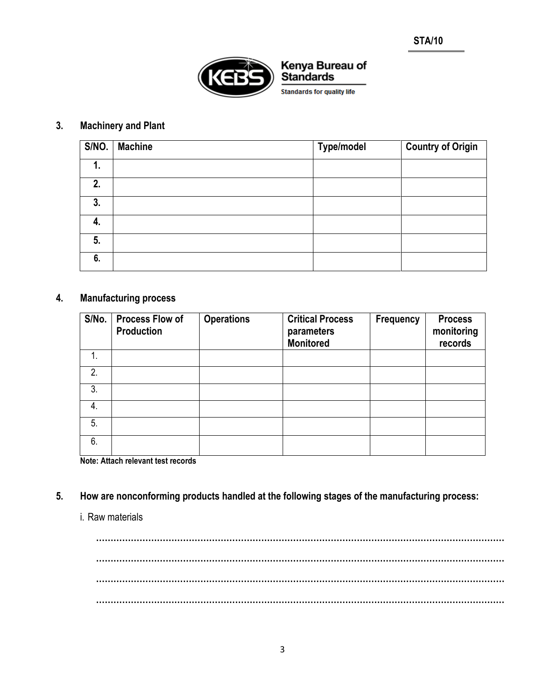

# **3. Machinery and Plant**

| S/NO. | <b>Machine</b> | <b>Type/model</b> | <b>Country of Origin</b> |
|-------|----------------|-------------------|--------------------------|
| 1.    |                |                   |                          |
| 2.    |                |                   |                          |
| 3.    |                |                   |                          |
| 4.    |                |                   |                          |
| 5.    |                |                   |                          |
| 6.    |                |                   |                          |

## **4. Manufacturing process**

| S/No. | <b>Process Flow of</b><br><b>Production</b> | <b>Operations</b> | <b>Critical Process</b><br>parameters<br><b>Monitored</b> | Frequency | <b>Process</b><br>monitoring<br>records |
|-------|---------------------------------------------|-------------------|-----------------------------------------------------------|-----------|-----------------------------------------|
| 1.    |                                             |                   |                                                           |           |                                         |
| 2.    |                                             |                   |                                                           |           |                                         |
| 3.    |                                             |                   |                                                           |           |                                         |
| 4.    |                                             |                   |                                                           |           |                                         |
| 5.    |                                             |                   |                                                           |           |                                         |
| 6.    |                                             |                   |                                                           |           |                                         |

**Note: Attach relevant test records**

**5. How are nonconforming products handled at the following stages of the manufacturing process:** 

#### i. Raw materials

**…………………………………………………………………………………………………………………………… …………………………………………………………………………………………………………………………… …………………………………………………………………………………………………………………………… ……………………………………………………………………………………………………………………………**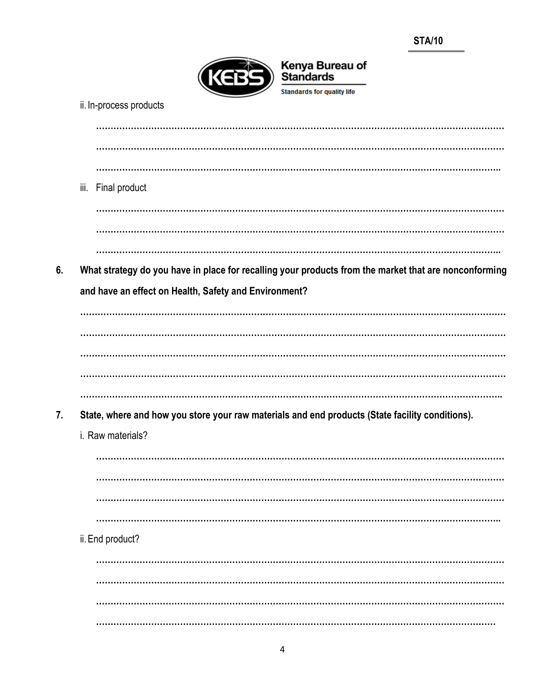

| ii. In-process products                                                                               |
|-------------------------------------------------------------------------------------------------------|
|                                                                                                       |
|                                                                                                       |
| iii. Final product                                                                                    |
|                                                                                                       |
|                                                                                                       |
| What strategy do you have in place for recalling your products from the market that are nonconforming |
| and have an effect on Health, Safety and Environment?                                                 |
|                                                                                                       |
|                                                                                                       |
|                                                                                                       |
|                                                                                                       |
|                                                                                                       |
| State, where and how you store your raw materials and end products (State facility conditions).       |
| i. Raw materials?                                                                                     |
|                                                                                                       |
|                                                                                                       |
|                                                                                                       |
|                                                                                                       |
| ii. End product?                                                                                      |
|                                                                                                       |
|                                                                                                       |
|                                                                                                       |
|                                                                                                       |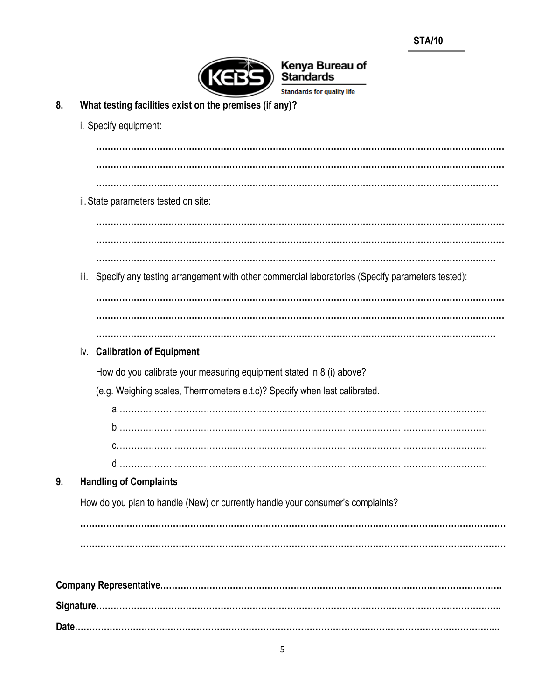

**Standards for quality life** 

- **8. What testing facilities exist on the premises (if any)?**
- i. Specify equipment: **…………………………………………………………………………………………………………………………… …………………………………………………………………………………………………………………………… ………………………………………………………………………………………………………………………….** ii.State parameters tested on site: **…………………………………………………………………………………………………………………………… …………………………………………………………………………………………………………………………** iii. Specify any testing arrangement with other commercial laboratories (Specify parameters tested): **…………………………………………………………………………………………………………………………… ……………………………………………………………………………………………………………………………** iv. **Calibration of Equipment** How do you calibrate your measuring equipment stated in 8 (i) above? (e.g. Weighing scales, Thermometers e.t.c)? Specify when last calibrated. a.………………………………………………………………………………………………………………. b.………………………………………………………………………………………………………………. c.………………………………………………………………………………………………………………. d.………………………………………………………………………………………………………………. **9. Handling of Complaints** How do you plan to handle (New) or currently handle your consumer's complaints? **………………………………………………………………………………………………………………………………… ………………………………………………………………………………………………………………………………… Company Representative………………………………………………………………………………………………………. Signature…………………………………………………………………………………………………………………………..**

**Date………………………………………………………………………………………………………………………………...**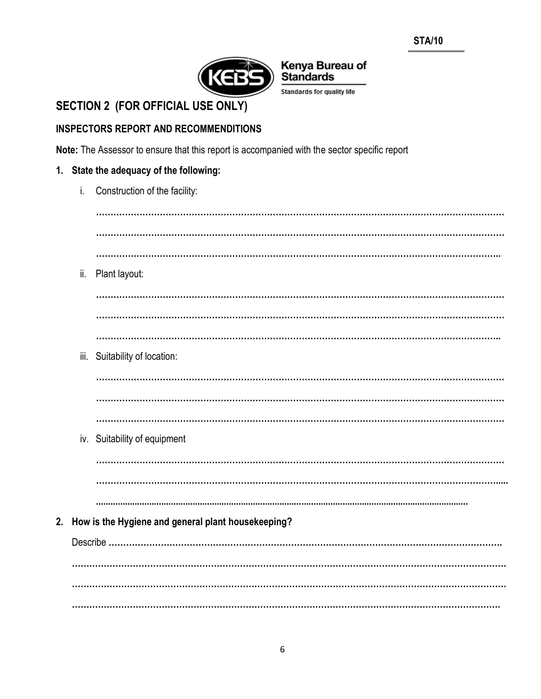

## Kenya Bureau of **Standards Standards for quality life**

**SECTION 2 (FOR OFFICIAL USE ONLY)** 

## **INSPECTORS REPORT AND RECOMMENDITIONS**

Note: The Assessor to ensure that this report is accompanied with the sector specific report

## 1. State the adequacy of the following:

| i.  | Construction of the facility:                         |
|-----|-------------------------------------------------------|
|     |                                                       |
|     |                                                       |
|     |                                                       |
| ii. | Plant layout:                                         |
|     |                                                       |
|     |                                                       |
|     | iii. Suitability of location:                         |
|     |                                                       |
|     |                                                       |
|     |                                                       |
|     | iv. Suitability of equipment                          |
|     |                                                       |
|     |                                                       |
|     |                                                       |
|     | 2. How is the Hygiene and general plant housekeeping? |
|     |                                                       |
|     |                                                       |
|     |                                                       |
|     |                                                       |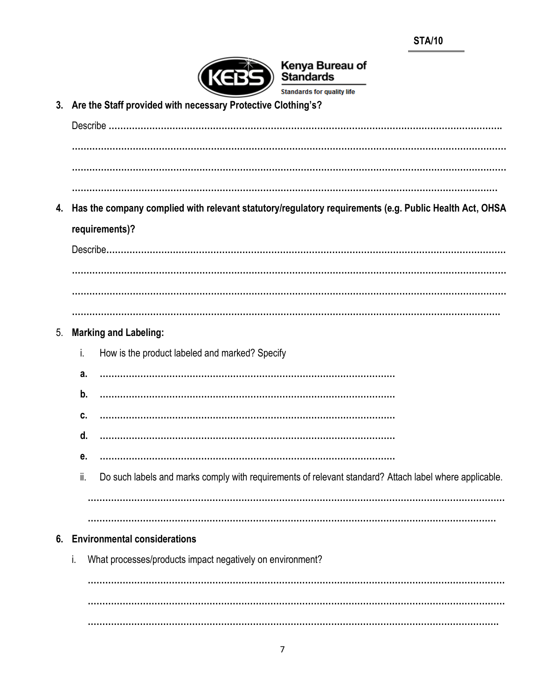

**Standards for quality life** 

**3. Are the Staff provided with necessary Protective Clothing's?** Describe **………………………………………………………………………………………………………………………. …………………………………………………………………………………………………………………………………… …………………………………………………………………………………………………………………………………… ………………………………………………………………………………………………………………………………… 4. Has the company complied with relevant statutory/regulatory requirements (e.g. Public Health Act, OHSA requirements)?** Describe**………………………………………………………………………………………………………………………… ………………………………………………………………………………………………………………………………….** 5. **Marking and Labeling:** i. How is the product labeled and marked? Specify **a. ………………………………………………………………………………………… b. ………………………………………………………………………………………… c. ………………………………………………………………………………………… d. ………………………………………………………………………………………… e. …………………………………………………………………………………………** ii. Do such labels and marks comply with requirements of relevant standard? Attach label where applicable. **……………………………………………………………………………………………………………………………… …………………………………………………………………………………………………………………………… 6. Environmental considerations** i. What processes/products impact negatively on environment? **……………………………………………………………………………………………………………………………… …………………………………………………………………………………………………………………………….**